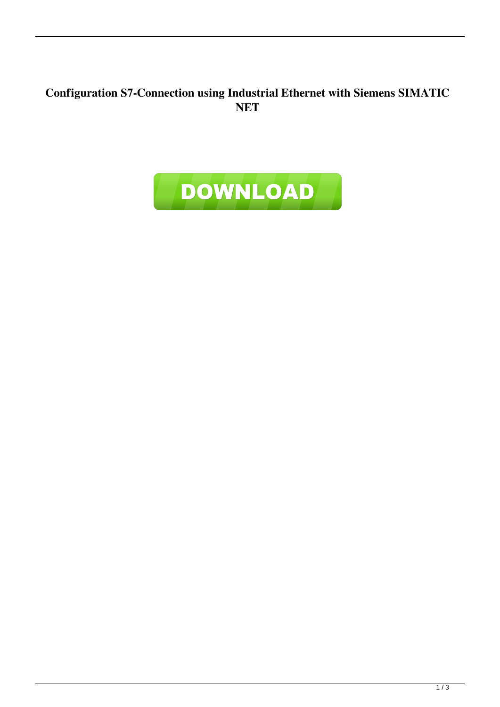## **Configuration S7-Connection using Industrial Ethernet with Siemens SIMATIC NET**

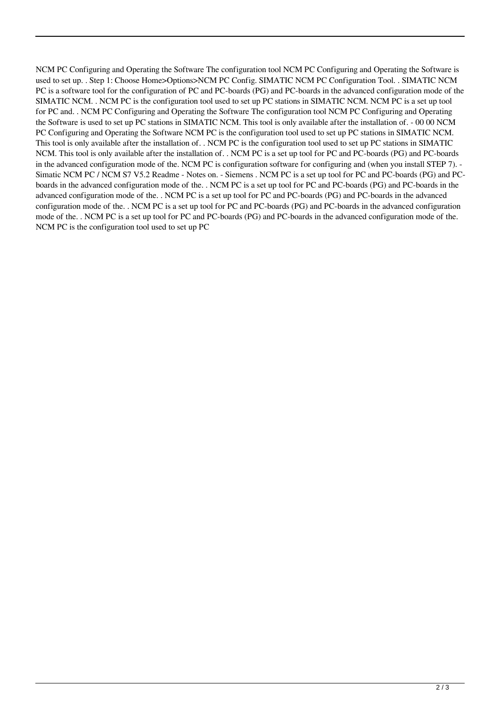NCM PC Configuring and Operating the Software The configuration tool NCM PC Configuring and Operating the Software is used to set up. . Step 1: Choose Home>Options>NCM PC Config. SIMATIC NCM PC Configuration Tool. . SIMATIC NCM PC is a software tool for the configuration of PC and PC-boards (PG) and PC-boards in the advanced configuration mode of the SIMATIC NCM. . NCM PC is the configuration tool used to set up PC stations in SIMATIC NCM. NCM PC is a set up tool for PC and. . NCM PC Configuring and Operating the Software The configuration tool NCM PC Configuring and Operating the Software is used to set up PC stations in SIMATIC NCM. This tool is only available after the installation of. - 00 00 NCM PC Configuring and Operating the Software NCM PC is the configuration tool used to set up PC stations in SIMATIC NCM. This tool is only available after the installation of. . NCM PC is the configuration tool used to set up PC stations in SIMATIC NCM. This tool is only available after the installation of. . NCM PC is a set up tool for PC and PC-boards (PG) and PC-boards in the advanced configuration mode of the. NCM PC is configuration software for configuring and (when you install STEP 7). - Simatic NCM PC / NCM S7 V5.2 Readme - Notes on. - Siemens . NCM PC is a set up tool for PC and PC-boards (PG) and PCboards in the advanced configuration mode of the. . NCM PC is a set up tool for PC and PC-boards (PG) and PC-boards in the advanced configuration mode of the. . NCM PC is a set up tool for PC and PC-boards (PG) and PC-boards in the advanced configuration mode of the. . NCM PC is a set up tool for PC and PC-boards (PG) and PC-boards in the advanced configuration mode of the. . NCM PC is a set up tool for PC and PC-boards (PG) and PC-boards in the advanced configuration mode of the. NCM PC is the configuration tool used to set up PC